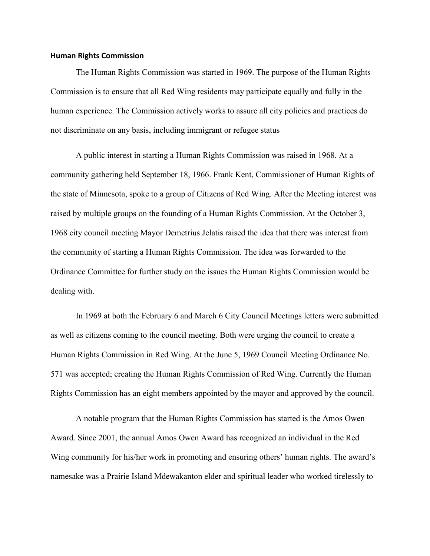## **Human Rights Commission**

The Human Rights Commission was started in 1969. The purpose of the Human Rights Commission is to ensure that all Red Wing residents may participate equally and fully in the human experience. The Commission actively works to assure all city policies and practices do not discriminate on any basis, including immigrant or refugee status

A public interest in starting a Human Rights Commission was raised in 1968. At a community gathering held September 18, 1966. Frank Kent, Commissioner of Human Rights of the state of Minnesota, spoke to a group of Citizens of Red Wing. After the Meeting interest was raised by multiple groups on the founding of a Human Rights Commission. At the October 3, 1968 city council meeting Mayor Demetrius Jelatis raised the idea that there was interest from the community of starting a Human Rights Commission. The idea was forwarded to the Ordinance Committee for further study on the issues the Human Rights Commission would be dealing with.

In 1969 at both the February 6 and March 6 City Council Meetings letters were submitted as well as citizens coming to the council meeting. Both were urging the council to create a Human Rights Commission in Red Wing. At the June 5, 1969 Council Meeting Ordinance No. 571 was accepted; creating the Human Rights Commission of Red Wing. Currently the Human Rights Commission has an eight members appointed by the mayor and approved by the council.

A notable program that the Human Rights Commission has started is the Amos Owen Award. Since 2001, the annual Amos Owen Award has recognized an individual in the Red Wing community for his/her work in promoting and ensuring others' human rights. The award's namesake was a Prairie Island Mdewakanton elder and spiritual leader who worked tirelessly to